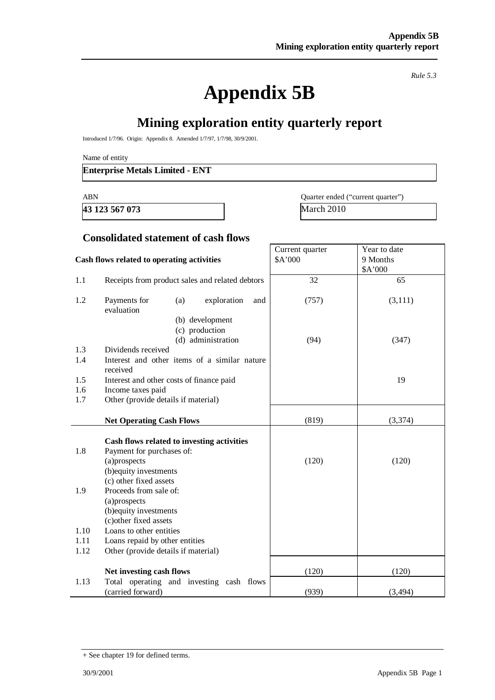*Rule 5.3* 

# **Appendix 5B**

# **Mining exploration entity quarterly report**

Introduced 1/7/96. Origin: Appendix 8. Amended 1/7/97, 1/7/98, 30/9/2001.

Name of entity

#### **Enterprise Metals Limited - ENT**

**43 123 567 073** March 2010

ABN Quarter ended ("current quarter")

Year to date 9 Months

Current quarter \$A'000

#### **Consolidated statement of cash flows**

#### **Cash flows related to operating activities**

|      |                                                          |       | \$A'000  |
|------|----------------------------------------------------------|-------|----------|
| 1.1  | Receipts from product sales and related debtors          | 32    | 65       |
| 1.2  | Payments for<br>(a)<br>exploration<br>and<br>evaluation  | (757) | (3,111)  |
|      | (b) development                                          |       |          |
|      | (c) production                                           |       |          |
|      | (d) administration                                       | (94)  | (347)    |
| 1.3  | Dividends received                                       |       |          |
| 1.4  | Interest and other items of a similar nature<br>received |       |          |
| 1.5  | Interest and other costs of finance paid                 |       | 19       |
| 1.6  | Income taxes paid                                        |       |          |
| 1.7  | Other (provide details if material)                      |       |          |
|      |                                                          |       |          |
|      | <b>Net Operating Cash Flows</b>                          | (819) | (3,374)  |
|      |                                                          |       |          |
|      | Cash flows related to investing activities               |       |          |
| 1.8  | Payment for purchases of:                                |       |          |
|      | (a)prospects                                             | (120) | (120)    |
|      | (b) equity investments                                   |       |          |
| 1.9  | (c) other fixed assets<br>Proceeds from sale of:         |       |          |
|      | (a)prospects                                             |       |          |
|      | (b) equity investments                                   |       |          |
|      | (c) other fixed assets                                   |       |          |
| 1.10 | Loans to other entities                                  |       |          |
| 1.11 | Loans repaid by other entities                           |       |          |
| 1.12 | Other (provide details if material)                      |       |          |
|      |                                                          |       |          |
|      | Net investing cash flows                                 | (120) | (120)    |
| 1.13 | Total operating and investing cash flows                 |       |          |
|      | (carried forward)                                        | (939) | (3, 494) |

<sup>+</sup> See chapter 19 for defined terms.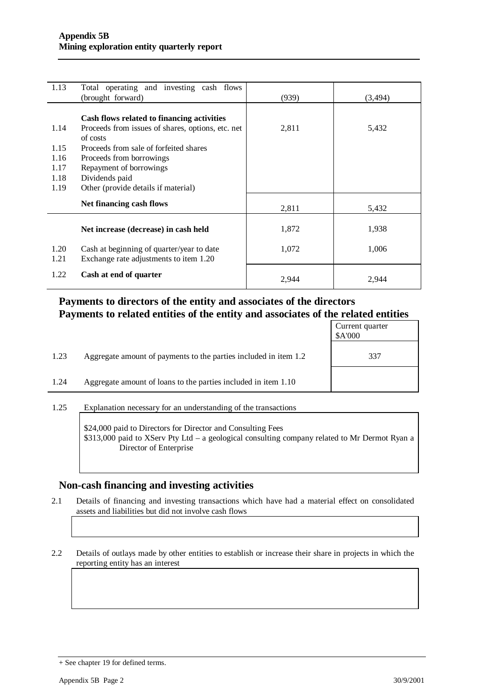| 1.13 | Total operating and investing cash flows<br>(brought forward) | (939) | (3, 494) |
|------|---------------------------------------------------------------|-------|----------|
|      |                                                               |       |          |
|      | Cash flows related to financing activities                    |       |          |
| 1.14 | Proceeds from issues of shares, options, etc. net             | 2,811 | 5,432    |
|      | of costs                                                      |       |          |
| 1.15 | Proceeds from sale of forfeited shares                        |       |          |
| 1.16 | Proceeds from borrowings                                      |       |          |
| 1.17 | Repayment of borrowings                                       |       |          |
| 1.18 | Dividends paid                                                |       |          |
| 1.19 | Other (provide details if material)                           |       |          |
|      | Net financing cash flows                                      |       |          |
|      |                                                               | 2,811 | 5,432    |
|      |                                                               |       |          |
|      | Net increase (decrease) in cash held                          | 1,872 | 1,938    |
|      |                                                               |       |          |
| 1.20 | Cash at beginning of quarter/year to date                     | 1,072 | 1,006    |
| 1.21 | Exchange rate adjustments to item 1.20                        |       |          |
| 1.22 | Cash at end of quarter                                        |       |          |
|      |                                                               | 2,944 | 2,944    |

## **Payments to directors of the entity and associates of the directors Payments to related entities of the entity and associates of the related entities**

|      |                                                                  | Current quarter<br>\$A'000 |
|------|------------------------------------------------------------------|----------------------------|
| 1.23 | Aggregate amount of payments to the parties included in item 1.2 | 337                        |
| 1.24 | Aggregate amount of loans to the parties included in item 1.10   |                            |

1.25 Explanation necessary for an understanding of the transactions

\$24,000 paid to Directors for Director and Consulting Fees \$313,000 paid to XServ Pty Ltd – a geological consulting company related to Mr Dermot Ryan a Director of Enterprise

#### **Non-cash financing and investing activities**

2.1 Details of financing and investing transactions which have had a material effect on consolidated assets and liabilities but did not involve cash flows

2.2 Details of outlays made by other entities to establish or increase their share in projects in which the reporting entity has an interest

<sup>+</sup> See chapter 19 for defined terms.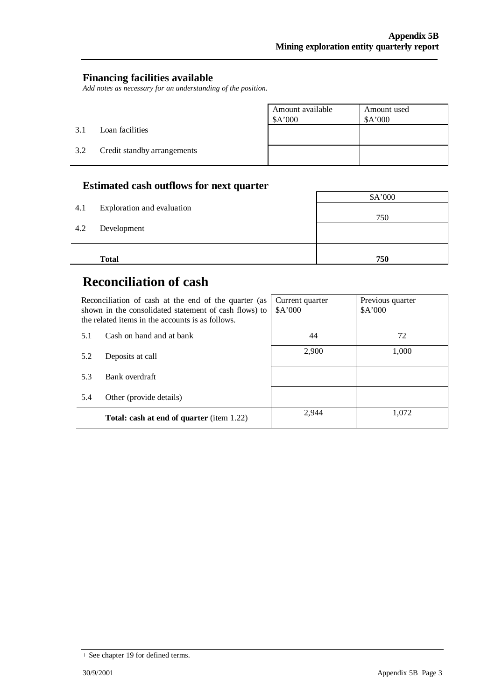#### **Financing facilities available**

*Add notes as necessary for an understanding of the position.* 

|     |                             | Amount available<br>\$A'000 | Amount used<br>\$A'000 |
|-----|-----------------------------|-----------------------------|------------------------|
| 3.1 | Loan facilities             |                             |                        |
| 3.2 | Credit standby arrangements |                             |                        |

### **Estimated cash outflows for next quarter**

| 4.1 | Exploration and evaluation | \$A'000 |
|-----|----------------------------|---------|
|     |                            | 750     |
| 4.2 | Development                |         |
|     |                            |         |
|     | <b>Total</b>               | 750     |

## **Reconciliation of cash**

|     | Reconciliation of cash at the end of the quarter (as<br>shown in the consolidated statement of cash flows) to<br>the related items in the accounts is as follows. | Current quarter<br>\$A'000 | Previous quarter<br>\$A'000 |
|-----|-------------------------------------------------------------------------------------------------------------------------------------------------------------------|----------------------------|-----------------------------|
| 5.1 | Cash on hand and at bank                                                                                                                                          | 44                         | 72                          |
| 5.2 | Deposits at call                                                                                                                                                  | 2,900                      | 1,000                       |
| 5.3 | Bank overdraft                                                                                                                                                    |                            |                             |
| 5.4 | Other (provide details)                                                                                                                                           |                            |                             |
|     | <b>Total: cash at end of quarter</b> (item 1.22)                                                                                                                  | 2.944                      | 1.072                       |

<sup>+</sup> See chapter 19 for defined terms.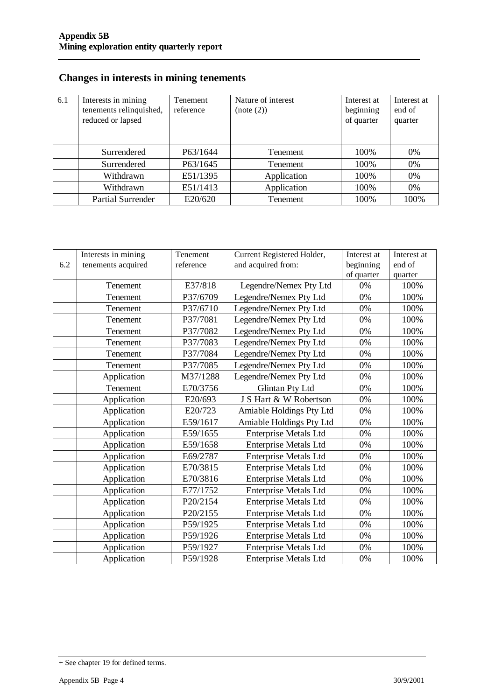## **Changes in interests in mining tenements**

| 6.1 | Interests in mining<br>tenements relinquished,<br>reduced or lapsed | Tenement<br>reference | Nature of interest<br>(note (2)) | Interest at<br>beginning<br>of quarter | Interest at<br>end of<br>quarter |
|-----|---------------------------------------------------------------------|-----------------------|----------------------------------|----------------------------------------|----------------------------------|
|     | Surrendered                                                         | P63/1644              | <b>Tenement</b>                  | 100%                                   | 0%                               |
|     | Surrendered                                                         | P63/1645              | <b>Tenement</b>                  | 100%                                   | 0%                               |
|     | Withdrawn                                                           | E51/1395              | Application                      | 100%                                   | 0%                               |
|     | Withdrawn                                                           | E51/1413              | Application                      | 100%                                   | 0%                               |
|     | <b>Partial Surrender</b>                                            | E20/620               | Tenement                         | 100%                                   | 100%                             |

|     | Interests in mining | Tenement  | Current Registered Holder,   | Interest at | Interest at |
|-----|---------------------|-----------|------------------------------|-------------|-------------|
| 6.2 | tenements acquired  | reference | and acquired from:           | beginning   | end of      |
|     |                     |           |                              | of quarter  | quarter     |
|     | Tenement            | E37/818   | Legendre/Nemex Pty Ltd       | 0%          | 100%        |
|     | Tenement            | P37/6709  | Legendre/Nemex Pty Ltd       | 0%          | 100%        |
|     | Tenement            | P37/6710  | Legendre/Nemex Pty Ltd       | 0%          | 100%        |
|     | Tenement            | P37/7081  | Legendre/Nemex Pty Ltd       | 0%          | 100%        |
|     | Tenement            | P37/7082  | Legendre/Nemex Pty Ltd       | 0%          | 100%        |
|     | Tenement            | P37/7083  | Legendre/Nemex Pty Ltd       | 0%          | 100%        |
|     | Tenement            | P37/7084  | Legendre/Nemex Pty Ltd       | 0%          | 100%        |
|     | Tenement            | P37/7085  | Legendre/Nemex Pty Ltd       | 0%          | 100%        |
|     | Application         | M37/1288  | Legendre/Nemex Pty Ltd       | 0%          | 100%        |
|     | Tenement            | E70/3756  | <b>Glintan Pty Ltd</b>       | 0%          | 100%        |
|     | Application         | E20/693   | J S Hart & W Robertson       | 0%          | 100%        |
|     | Application         | E20/723   | Amiable Holdings Pty Ltd     | 0%          | 100%        |
|     | Application         | E59/1617  | Amiable Holdings Pty Ltd     | 0%          | 100%        |
|     | Application         | E59/1655  | <b>Enterprise Metals Ltd</b> | 0%          | 100%        |
|     | Application         | E59/1658  | <b>Enterprise Metals Ltd</b> | 0%          | 100%        |
|     | Application         | E69/2787  | <b>Enterprise Metals Ltd</b> | 0%          | 100%        |
|     | Application         | E70/3815  | <b>Enterprise Metals Ltd</b> | 0%          | 100%        |
|     | Application         | E70/3816  | <b>Enterprise Metals Ltd</b> | 0%          | 100%        |
|     | Application         | E77/1752  | <b>Enterprise Metals Ltd</b> | 0%          | 100%        |
|     | Application         | P20/2154  | <b>Enterprise Metals Ltd</b> | 0%          | 100%        |
|     | Application         | P20/2155  | <b>Enterprise Metals Ltd</b> | 0%          | 100%        |
|     | Application         | P59/1925  | <b>Enterprise Metals Ltd</b> | 0%          | 100%        |
|     | Application         | P59/1926  | <b>Enterprise Metals Ltd</b> | 0%          | 100%        |
|     | Application         | P59/1927  | <b>Enterprise Metals Ltd</b> | 0%          | 100%        |
|     | Application         | P59/1928  | <b>Enterprise Metals Ltd</b> | 0%          | 100%        |

<sup>+</sup> See chapter 19 for defined terms.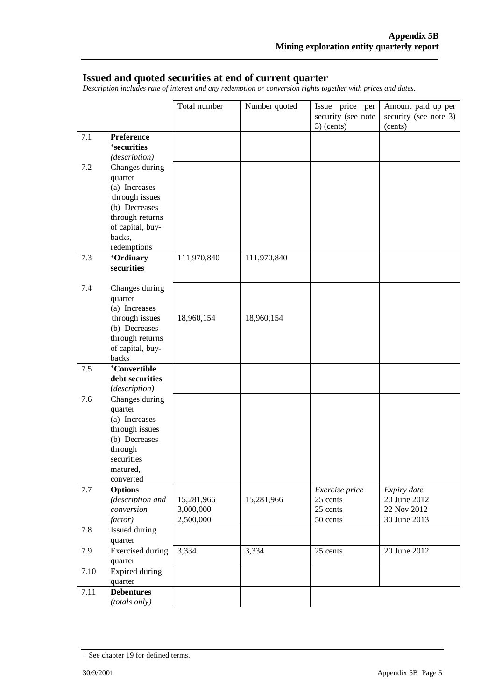#### **Issued and quoted securities at end of current quarter**

*Description includes rate of interest and any redemption or conversion rights together with prices and dates.* 

|      |                                          | Total number | Number quoted | Issue price per    | Amount paid up per    |
|------|------------------------------------------|--------------|---------------|--------------------|-----------------------|
|      |                                          |              |               | security (see note | security (see note 3) |
|      |                                          |              |               | $3)$ (cents)       | (cents)               |
| 7.1  | <b>Preference</b>                        |              |               |                    |                       |
|      | <sup>+</sup> securities<br>(description) |              |               |                    |                       |
| 7.2  | Changes during                           |              |               |                    |                       |
|      | quarter                                  |              |               |                    |                       |
|      | (a) Increases                            |              |               |                    |                       |
|      | through issues                           |              |               |                    |                       |
|      | (b) Decreases                            |              |               |                    |                       |
|      | through returns                          |              |               |                    |                       |
|      | of capital, buy-                         |              |               |                    |                       |
|      | backs,<br>redemptions                    |              |               |                    |                       |
| 7.3  | +Ordinary                                | 111,970,840  | 111,970,840   |                    |                       |
|      | securities                               |              |               |                    |                       |
|      |                                          |              |               |                    |                       |
| 7.4  | Changes during                           |              |               |                    |                       |
|      | quarter                                  |              |               |                    |                       |
|      | (a) Increases                            |              |               |                    |                       |
|      | through issues<br>(b) Decreases          | 18,960,154   | 18,960,154    |                    |                       |
|      | through returns                          |              |               |                    |                       |
|      | of capital, buy-                         |              |               |                    |                       |
|      | backs                                    |              |               |                    |                       |
| 7.5  | <sup>+</sup> Convertible                 |              |               |                    |                       |
|      | debt securities                          |              |               |                    |                       |
|      | (description)                            |              |               |                    |                       |
| 7.6  | Changes during<br>quarter                |              |               |                    |                       |
|      | (a) Increases                            |              |               |                    |                       |
|      | through issues                           |              |               |                    |                       |
|      | (b) Decreases                            |              |               |                    |                       |
|      | through                                  |              |               |                    |                       |
|      | securities                               |              |               |                    |                       |
|      | matured,                                 |              |               |                    |                       |
| 7.7  | converted<br><b>Options</b>              |              |               | Exercise price     | Expiry date           |
|      | (description and                         | 15,281,966   | 15,281,966    | 25 cents           | 20 June 2012          |
|      | conversion                               | 3,000,000    |               | 25 cents           | 22 Nov 2012           |
|      | factor)                                  | 2,500,000    |               | 50 cents           | 30 June 2013          |
| 7.8  | Issued during                            |              |               |                    |                       |
|      | quarter                                  |              |               |                    |                       |
| 7.9  | <b>Exercised</b> during                  | 3,334        | 3,334         | 25 cents           | 20 June 2012          |
| 7.10 | quarter<br>Expired during                |              |               |                    |                       |
|      | quarter                                  |              |               |                    |                       |
| 7.11 | <b>Debentures</b>                        |              |               |                    |                       |
|      | (totals only)                            |              |               |                    |                       |

<sup>+</sup> See chapter 19 for defined terms.